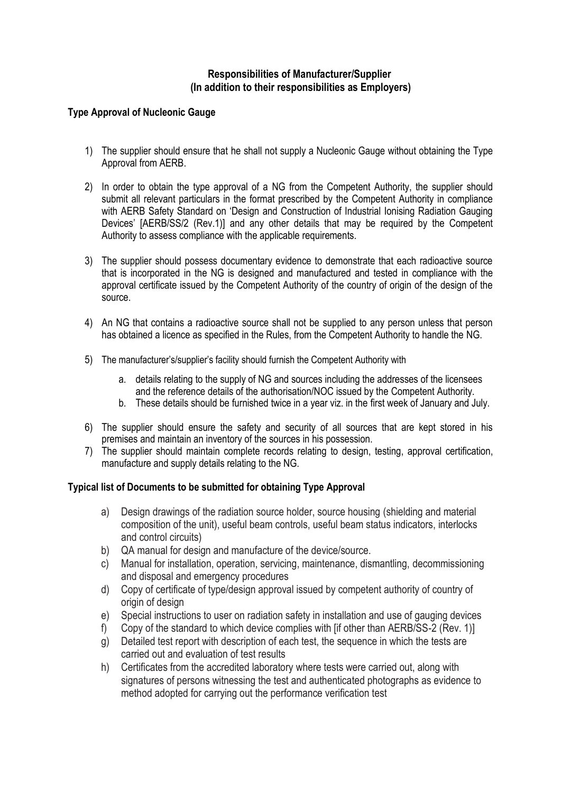## **Responsibilities of Manufacturer/Supplier (In addition to their responsibilities as Employers)**

## **Type Approval of Nucleonic Gauge**

- 1) The supplier should ensure that he shall not supply a Nucleonic Gauge without obtaining the Type Approval from AERB.
- 2) In order to obtain the type approval of a NG from the Competent Authority, the supplier should submit all relevant particulars in the format prescribed by the Competent Authority in compliance with AERB Safety Standard on 'Design and Construction of Industrial Ionising Radiation Gauging Devices' [AERB/SS/2 (Rev.1)] and any other details that may be required by the Competent Authority to assess compliance with the applicable requirements.
- 3) The supplier should possess documentary evidence to demonstrate that each radioactive source that is incorporated in the NG is designed and manufactured and tested in compliance with the approval certificate issued by the Competent Authority of the country of origin of the design of the source.
- 4) An NG that contains a radioactive source shall not be supplied to any person unless that person has obtained a licence as specified in the Rules, from the Competent Authority to handle the NG.
- 5) The manufacturer's/supplier's facility should furnish the Competent Authority with
	- a. details relating to the supply of NG and sources including the addresses of the licensees and the reference details of the authorisation/NOC issued by the Competent Authority.
	- b. These details should be furnished twice in a year viz. in the first week of January and July.
- 6) The supplier should ensure the safety and security of all sources that are kept stored in his premises and maintain an inventory of the sources in his possession.
- 7) The supplier should maintain complete records relating to design, testing, approval certification, manufacture and supply details relating to the NG.

## **Typical list of Documents to be submitted for obtaining Type Approval**

- a) Design drawings of the radiation source holder, source housing (shielding and material composition of the unit), useful beam controls, useful beam status indicators, interlocks and control circuits)
- b) QA manual for design and manufacture of the device/source.
- c) Manual for installation, operation, servicing, maintenance, dismantling, decommissioning and disposal and emergency procedures
- d) Copy of certificate of type/design approval issued by competent authority of country of origin of design
- e) Special instructions to user on radiation safety in installation and use of gauging devices
- f) Copy of the standard to which device complies with [if other than AERB/SS-2 (Rev. 1)]
- g) Detailed test report with description of each test, the sequence in which the tests are carried out and evaluation of test results
- h) Certificates from the accredited laboratory where tests were carried out, along with signatures of persons witnessing the test and authenticated photographs as evidence to method adopted for carrying out the performance verification test